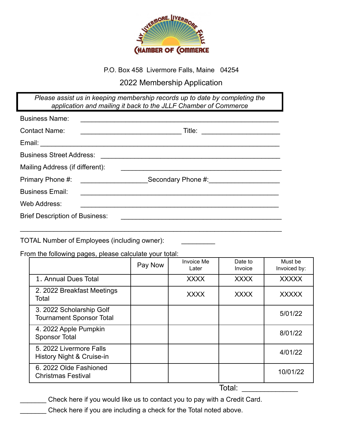

### P.O. Box 458 Livermore Falls, Maine 04254

## 2022 Membership Application

*Please assist us in keeping membership records up to date by completing the application and mailing it back to the JLLF Chamber of Commerce*

| <b>Business Name:</b>                 | <u> 1980 - Johann John Stein, fransk politik (f. 1980)</u>                                                                                                |
|---------------------------------------|-----------------------------------------------------------------------------------------------------------------------------------------------------------|
| <b>Contact Name:</b>                  | Title: ________________________                                                                                                                           |
|                                       |                                                                                                                                                           |
| <b>Business Street Address:</b>       |                                                                                                                                                           |
| Mailing Address (if different):       |                                                                                                                                                           |
| Primary Phone #:                      | Secondary Phone #: \\\elling\\\elling\\\elling\\\elling\\\elling\\\elling\\elling\\elling\\elling\\elling\\ell<br><u> 1980 - Andrea Barbara, martin d</u> |
| <b>Business Email:</b>                | <u> 1989 - Jan Sterlinger, skriuwer fan de Amerikaanske kommunister fan de Amerikaanske kommunister fan de Amerika</u>                                    |
| Web Address:                          |                                                                                                                                                           |
| <b>Brief Description of Business:</b> |                                                                                                                                                           |
|                                       |                                                                                                                                                           |

#### TOTAL Number of Employees (including owner):

#### From the following pages, please calculate your total:

|                                                             | Pay Now | <b>Invoice Me</b><br>Later | Date to<br>Invoice | Must be<br>Invoiced by: |
|-------------------------------------------------------------|---------|----------------------------|--------------------|-------------------------|
| 1. Annual Dues Total                                        |         | <b>XXXX</b>                | <b>XXXX</b>        | <b>XXXXX</b>            |
| 2. 2022 Breakfast Meetings<br>Total                         |         | <b>XXXX</b>                | <b>XXXX</b>        | <b>XXXXX</b>            |
| 3. 2022 Scholarship Golf<br><b>Tournament Sponsor Total</b> |         |                            |                    | 5/01/22                 |
| 4. 2022 Apple Pumpkin<br><b>Sponsor Total</b>               |         |                            |                    | 8/01/22                 |
| 5. 2022 Livermore Falls<br>History Night & Cruise-in        |         |                            |                    | 4/01/22                 |
| 6. 2022 Olde Fashioned<br><b>Christmas Festival</b>         |         |                            |                    | 10/01/22                |

Total: \_\_\_\_\_\_\_\_\_\_\_\_\_\_\_

Check here if you would like us to contact you to pay with a Credit Card.

Check here if you are including a check for the Total noted above.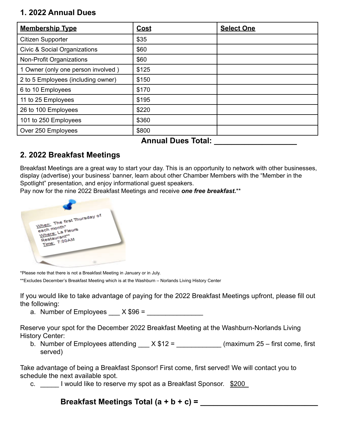## **1. 2022 Annual Dues**

| <b>Membership Type</b>                  | <b>Cost</b> | <b>Select One</b> |
|-----------------------------------------|-------------|-------------------|
| Citizen Supporter                       | \$35        |                   |
| <b>Civic &amp; Social Organizations</b> | \$60        |                   |
| Non-Profit Organizations                | \$60        |                   |
| 1 Owner (only one person involved)      | \$125       |                   |
| 2 to 5 Employees (including owner)      | \$150       |                   |
| 6 to 10 Employees                       | \$170       |                   |
| 11 to 25 Employees                      | \$195       |                   |
| 26 to 100 Employees                     | \$220       |                   |
| 101 to 250 Employees                    | \$360       |                   |
| Over 250 Employees                      | \$800       |                   |

### **Annual Dues Total: \_\_\_\_\_\_\_\_\_\_\_\_\_\_\_\_\_\_\_**

# **2. 2022 Breakfast Meetings**

Breakfast Meetings are a great way to start your day. This is an opportunity to network with other businesses, display (advertise) your business' banner, learn about other Chamber Members with the "Member in the Spotlight" presentation, and enjoy informational guest speakers.

Pay now for the nine 2022 Breakfast Meetings and receive *one free breakfast***.**\*\*



\*Please note that there is not a Breakfast Meeting in January or in July.

\*\*Excludes December's Breakfast Meeting which is at the Washburn – Norlands Living History Center

If you would like to take advantage of paying for the 2022 Breakfast Meetings upfront, please fill out the following:

a. Number of Employees  $X $96 =$ 

Reserve your spot for the December 2022 Breakfast Meeting at the Washburn-Norlands Living History Center:

b. Number of Employees attending  $X $12 =$  (maximum 25 – first come, first served)

Take advantage of being a Breakfast Sponsor! First come, first served! We will contact you to schedule the next available spot.

c. I would like to reserve my spot as a Breakfast Sponsor. \$200\_

## **Breakfast Meetings Total (a + b + c) = \_\_\_\_\_\_\_\_\_\_\_\_\_\_\_\_\_\_\_\_\_\_\_\_\_\_\_**